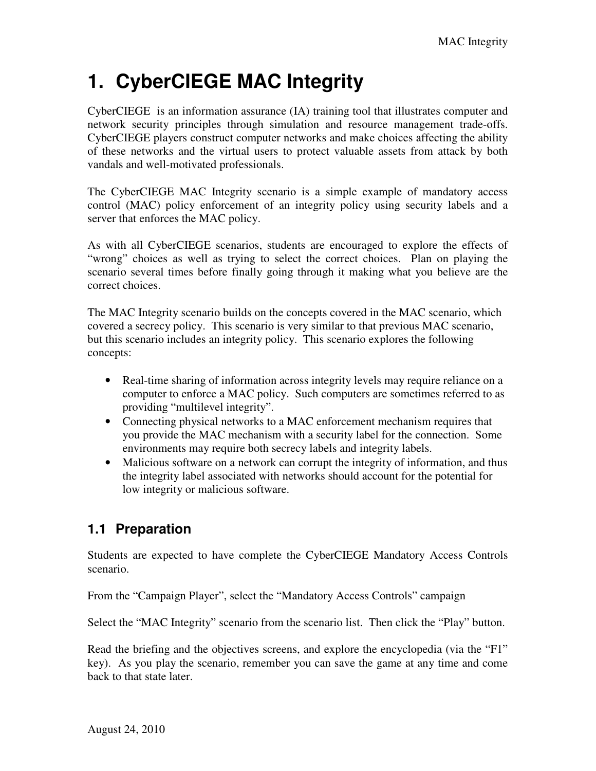# **1. CyberCIEGE MAC Integrity**

CyberCIEGE is an information assurance (IA) training tool that illustrates computer and network security principles through simulation and resource management trade-offs. CyberCIEGE players construct computer networks and make choices affecting the ability of these networks and the virtual users to protect valuable assets from attack by both vandals and well-motivated professionals.

The CyberCIEGE MAC Integrity scenario is a simple example of mandatory access control (MAC) policy enforcement of an integrity policy using security labels and a server that enforces the MAC policy.

As with all CyberCIEGE scenarios, students are encouraged to explore the effects of "wrong" choices as well as trying to select the correct choices. Plan on playing the scenario several times before finally going through it making what you believe are the correct choices.

The MAC Integrity scenario builds on the concepts covered in the MAC scenario, which covered a secrecy policy. This scenario is very similar to that previous MAC scenario, but this scenario includes an integrity policy. This scenario explores the following concepts:

- Real-time sharing of information across integrity levels may require reliance on a computer to enforce a MAC policy. Such computers are sometimes referred to as providing "multilevel integrity".
- Connecting physical networks to a MAC enforcement mechanism requires that you provide the MAC mechanism with a security label for the connection. Some environments may require both secrecy labels and integrity labels.
- Malicious software on a network can corrupt the integrity of information, and thus the integrity label associated with networks should account for the potential for low integrity or malicious software.

## **1.1 Preparation**

Students are expected to have complete the CyberCIEGE Mandatory Access Controls scenario.

From the "Campaign Player", select the "Mandatory Access Controls" campaign

Select the "MAC Integrity" scenario from the scenario list. Then click the "Play" button.

Read the briefing and the objectives screens, and explore the encyclopedia (via the "F1" key). As you play the scenario, remember you can save the game at any time and come back to that state later.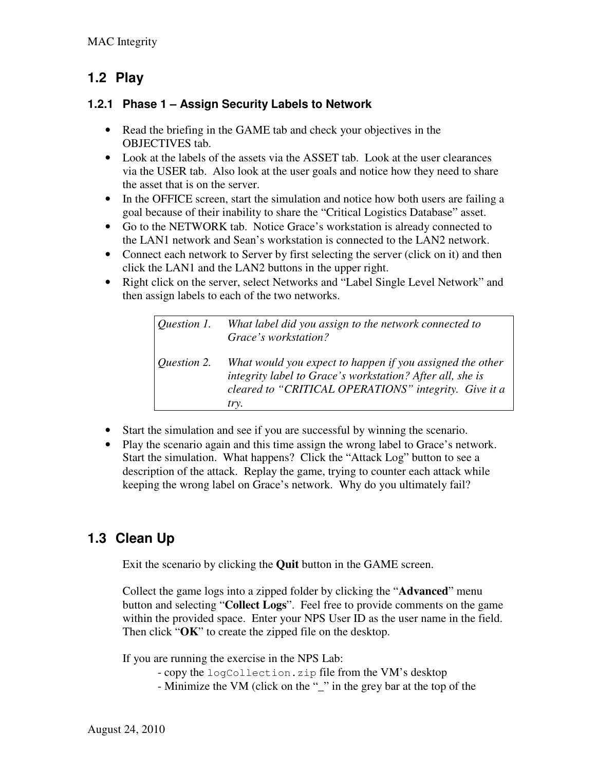### **1.2 Play**

#### **1.2.1 Phase 1 – Assign Security Labels to Network**

- Read the briefing in the GAME tab and check your objectives in the OBJECTIVES tab.
- Look at the labels of the assets via the ASSET tab. Look at the user clearances via the USER tab. Also look at the user goals and notice how they need to share the asset that is on the server.
- In the OFFICE screen, start the simulation and notice how both users are failing a goal because of their inability to share the "Critical Logistics Database" asset.
- Go to the NETWORK tab. Notice Grace's workstation is already connected to the LAN1 network and Sean's workstation is connected to the LAN2 network.
- Connect each network to Server by first selecting the server (click on it) and then click the LAN1 and the LAN2 buttons in the upper right.
- Right click on the server, select Networks and "Label Single Level Network" and then assign labels to each of the two networks.

*Question 1. What label did you assign to the network connected to Grace's workstation? Question 2. What would you expect to happen if you assigned the other integrity label to Grace's workstation? After all, she is cleared to "CRITICAL OPERATIONS" integrity. Give it a try.* 

- Start the simulation and see if you are successful by winning the scenario.
- Play the scenario again and this time assign the wrong label to Grace's network. Start the simulation. What happens? Click the "Attack Log" button to see a description of the attack. Replay the game, trying to counter each attack while keeping the wrong label on Grace's network. Why do you ultimately fail?

## **1.3 Clean Up**

Exit the scenario by clicking the **Quit** button in the GAME screen.

Collect the game logs into a zipped folder by clicking the "**Advanced**" menu button and selecting "**Collect Logs**". Feel free to provide comments on the game within the provided space. Enter your NPS User ID as the user name in the field. Then click "**OK**" to create the zipped file on the desktop.

If you are running the exercise in the NPS Lab:

- copy the logCollection.zip file from the VM's desktop
- Minimize the VM (click on the "" in the grey bar at the top of the